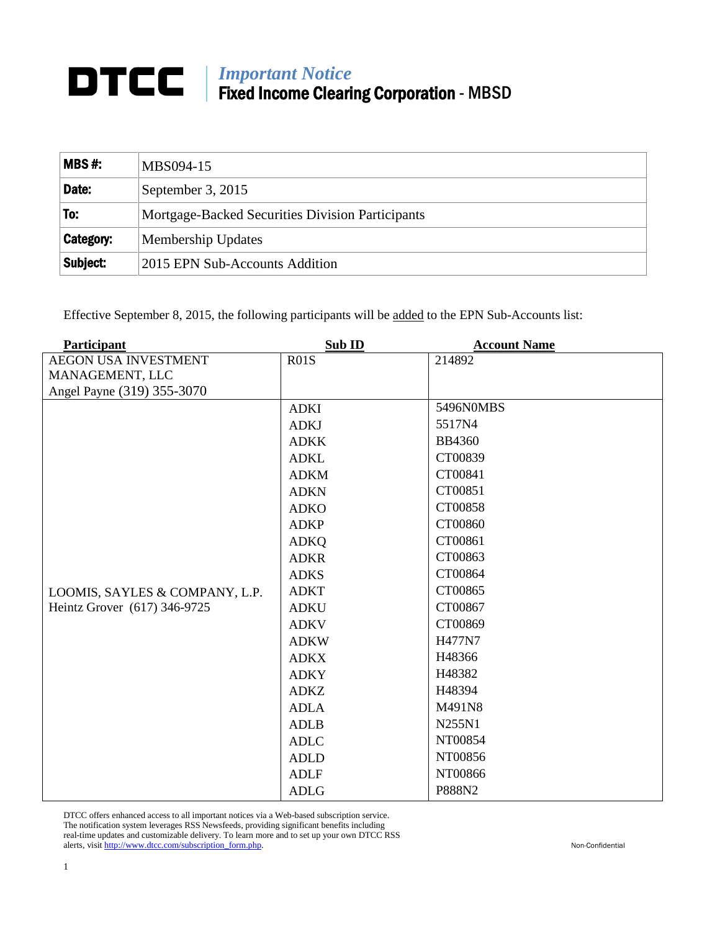## *Important Notice* Fixed Income Clearing Corporation - MBSD

| $MBS#$ :  | MBS094-15                                        |  |
|-----------|--------------------------------------------------|--|
| Date:     | September 3, 2015                                |  |
| To:       | Mortgage-Backed Securities Division Participants |  |
| Category: | Membership Updates                               |  |
| Subject:  | 2015 EPN Sub-Accounts Addition                   |  |

Effective September 8, 2015, the following participants will be added to the EPN Sub-Accounts list:

| Participant                    | Sub ID      | <b>Account Name</b> |
|--------------------------------|-------------|---------------------|
| <b>AEGON USA INVESTMENT</b>    | R01S        | 214892              |
| MANAGEMENT, LLC                |             |                     |
| Angel Payne (319) 355-3070     |             |                     |
|                                | <b>ADKI</b> | 5496N0MBS           |
|                                | <b>ADKJ</b> | 5517N4              |
|                                | <b>ADKK</b> | <b>BB4360</b>       |
|                                | <b>ADKL</b> | CT00839             |
|                                | <b>ADKM</b> | CT00841             |
|                                | <b>ADKN</b> | CT00851             |
|                                | <b>ADKO</b> | CT00858             |
|                                | <b>ADKP</b> | CT00860             |
|                                | <b>ADKQ</b> | CT00861             |
|                                | <b>ADKR</b> | CT00863             |
|                                | <b>ADKS</b> | CT00864             |
| LOOMIS, SAYLES & COMPANY, L.P. | <b>ADKT</b> | CT00865             |
| Heintz Grover (617) 346-9725   | <b>ADKU</b> | CT00867             |
|                                | <b>ADKV</b> | CT00869             |
|                                | <b>ADKW</b> | H477N7              |
|                                | <b>ADKX</b> | H48366              |
|                                | <b>ADKY</b> | H48382              |
|                                | <b>ADKZ</b> | H48394              |
|                                | <b>ADLA</b> | M491N8              |
|                                | <b>ADLB</b> | N255N1              |
|                                | <b>ADLC</b> | NT00854             |
|                                | <b>ADLD</b> | NT00856             |
|                                | <b>ADLF</b> | NT00866             |
|                                | <b>ADLG</b> | P888N2              |

DTCC offers enhanced access to all important notices via a Web-based subscription service. The notification system leverages RSS Newsfeeds, providing significant benefits including real-time updates and customizable delivery. To learn more and to set up your own DTCC RSS alerts, visit [http://www.dtcc.com/subscription\\_form.php.](http://www.dtcc.com/subscription_form.php) Non-Confidential